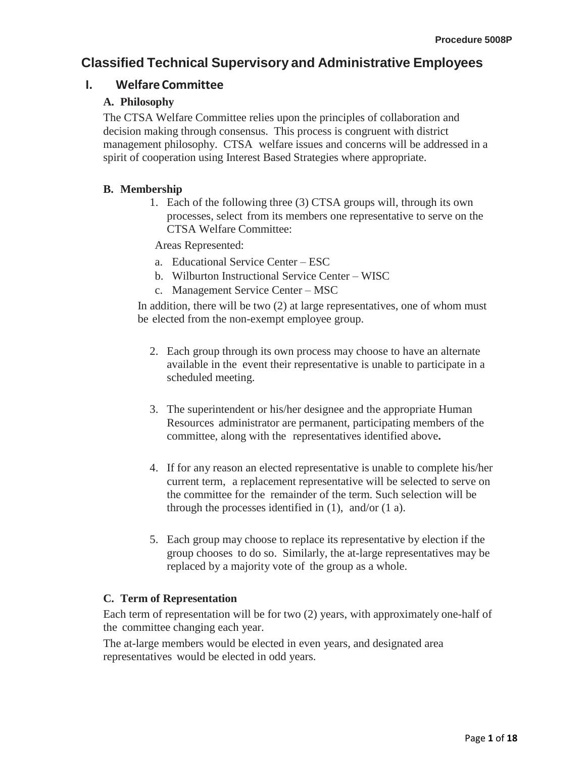# **Classified Technical Supervisory and Administrative Employees**

## **I. Welfare Committee**

### **A. Philosophy**

The CTSA Welfare Committee relies upon the principles of collaboration and decision making through consensus. This process is congruent with district management philosophy. CTSA welfare issues and concerns will be addressed in a spirit of cooperation using Interest Based Strategies where appropriate.

### **B. Membership**

1. Each of the following three (3) CTSA groups will, through its own processes, select from its members one representative to serve on the CTSA Welfare Committee:

Areas Represented:

- a. Educational Service Center ESC
- b. Wilburton Instructional Service Center WISC
- c. Management Service Center MSC

In addition, there will be two (2) at large representatives, one of whom must be elected from the non-exempt employee group.

- 2. Each group through its own process may choose to have an alternate available in the event their representative is unable to participate in a scheduled meeting.
- 3. The superintendent or his/her designee and the appropriate Human Resources administrator are permanent, participating members of the committee, along with the representatives identified above**.**
- 4. If for any reason an elected representative is unable to complete his/her current term, a replacement representative will be selected to serve on the committee for the remainder of the term. Such selection will be through the processes identified in  $(1)$ , and/or  $(1 \text{ a})$ .
- 5. Each group may choose to replace its representative by election if the group chooses to do so. Similarly, the at-large representatives may be replaced by a majority vote of the group as a whole.

### **C. Term of Representation**

Each term of representation will be for two (2) years, with approximately one-half of the committee changing each year.

The at-large members would be elected in even years, and designated area representatives would be elected in odd years.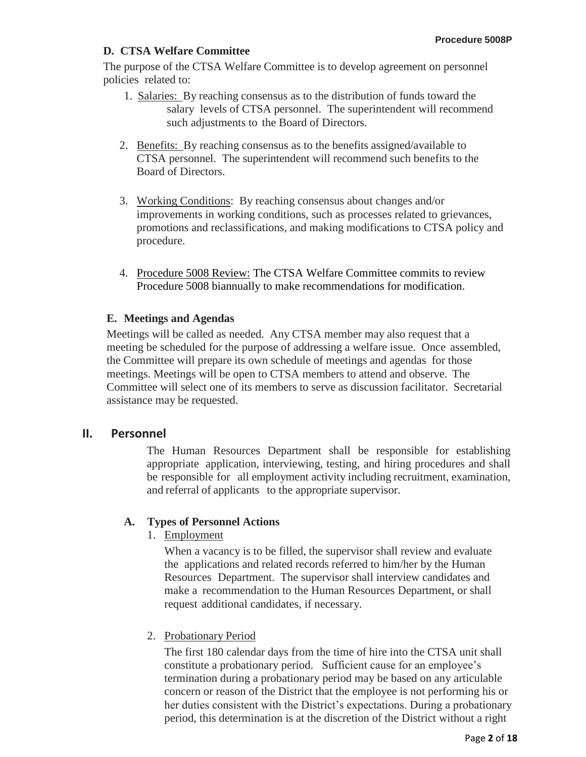## **D. CTSA Welfare Committee**

The purpose of the CTSA Welfare Committee is to develop agreement on personnel policies related to:

- 1. Salaries: By reaching consensus as to the distribution of funds toward the salary levels of CTSA personnel. The superintendent will recommend such adjustments to the Board of Directors.
- 2. Benefits: By reaching consensus as to the benefits assigned/available to CTSA personnel. The superintendent will recommend such benefits to the Board of Directors.
- 3. Working Conditions: By reaching consensus about changes and/or improvements in working conditions, such as processes related to grievances, promotions and reclassifications, and making modifications to CTSA policy and procedure.
- 4. Procedure 5008 Review: The CTSA Welfare Committee commits to review Procedure 5008 biannually to make recommendations for modification.

## **E. Meetings and Agendas**

Meetings will be called as needed. Any CTSA member may also request that a meeting be scheduled for the purpose of addressing a welfare issue. Once assembled, the Committee will prepare its own schedule of meetings and agendas for those meetings. Meetings will be open to CTSA members to attend and observe. The Committee will select one of its members to serve as discussion facilitator. Secretarial assistance may be requested.

## **II. Personnel**

The Human Resources Department shall be responsible for establishing appropriate application, interviewing, testing, and hiring procedures and shall be responsible for all employment activity including recruitment, examination, and referral of applicants to the appropriate supervisor.

## **A. Types of Personnel Actions**

1. Employment

When a vacancy is to be filled, the supervisor shall review and evaluate the applications and related records referred to him/her by the Human Resources Department. The supervisor shall interview candidates and make a recommendation to the Human Resources Department, or shall request additional candidates, if necessary.

### 2. Probationary Period

The first 180 calendar days from the time of hire into the CTSA unit shall constitute a probationary period. Sufficient cause for an employee's termination during a probationary period may be based on any articulable concern or reason of the District that the employee is not performing his or her duties consistent with the District's expectations. During a probationary period, this determination is at the discretion of the District without a right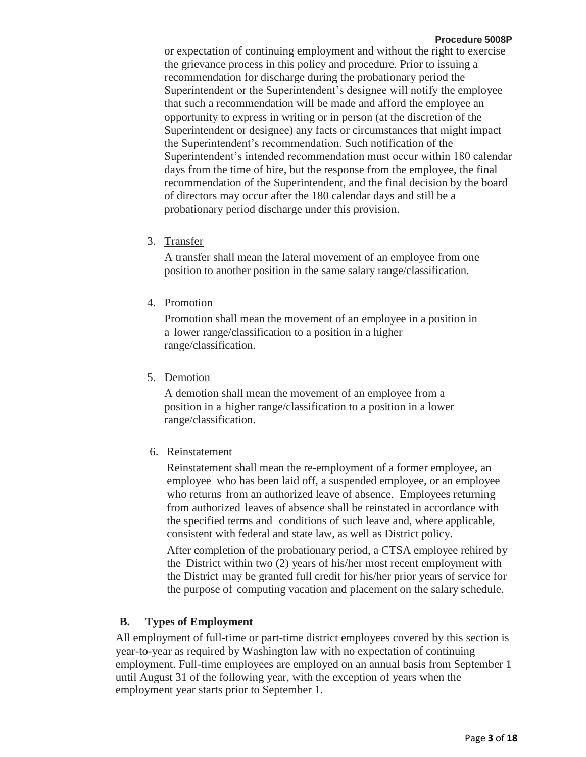or expectation of continuing employment and without the right to exercise the grievance process in this policy and procedure. Prior to issuing a recommendation for discharge during the probationary period the Superintendent or the Superintendent's designee will notify the employee that such a recommendation will be made and afford the employee an opportunity to express in writing or in person (at the discretion of the Superintendent or designee) any facts or circumstances that might impact the Superintendent's recommendation. Such notification of the Superintendent's intended recommendation must occur within 180 calendar days from the time of hire, but the response from the employee, the final recommendation of the Superintendent, and the final decision by the board of directors may occur after the 180 calendar days and still be a probationary period discharge under this provision.

#### 3. Transfer

A transfer shall mean the lateral movement of an employee from one position to another position in the same salary range/classification.

4. Promotion

Promotion shall mean the movement of an employee in a position in a lower range/classification to a position in a higher range/classification.

5. Demotion

A demotion shall mean the movement of an employee from a position in a higher range/classification to a position in a lower range/classification.

6. Reinstatement

Reinstatement shall mean the re-employment of a former employee, an employee who has been laid off, a suspended employee, or an employee who returns from an authorized leave of absence. Employees returning from authorized leaves of absence shall be reinstated in accordance with the specified terms and conditions of such leave and, where applicable, consistent with federal and state law, as well as District policy.

After completion of the probationary period, a CTSA employee rehired by the District within two (2) years of his/her most recent employment with the District may be granted full credit for his/her prior years of service for the purpose of computing vacation and placement on the salary schedule.

#### **B. Types of Employment**

All employment of full-time or part-time district employees covered by this section is year-to-year as required by Washington law with no expectation of continuing employment. Full-time employees are employed on an annual basis from September 1 until August 31 of the following year, with the exception of years when the employment year starts prior to September 1.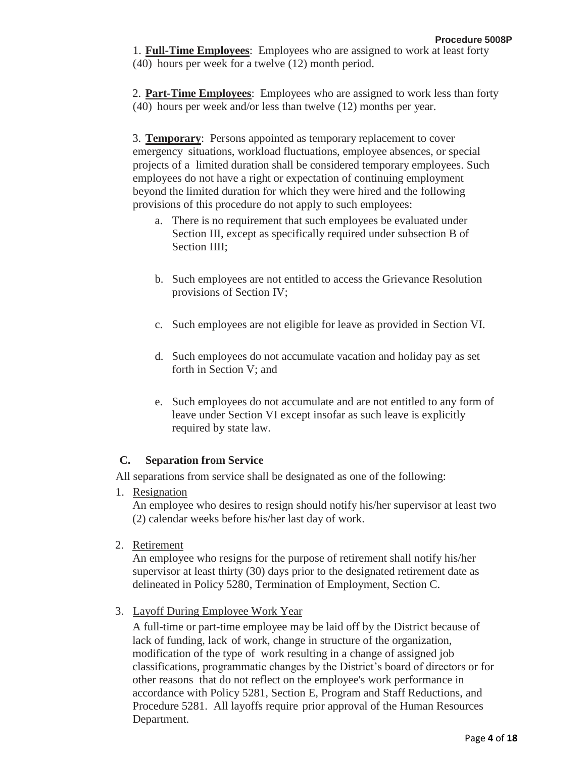1. **Full-Time Employees**: Employees who are assigned to work at least forty (40) hours per week for a twelve (12) month period.

2. **Part-Time Employees**: Employees who are assigned to work less than forty (40) hours per week and/or less than twelve (12) months per year.

3. **Temporary**: Persons appointed as temporary replacement to cover emergency situations, workload fluctuations, employee absences, or special projects of a limited duration shall be considered temporary employees. Such employees do not have a right or expectation of continuing employment beyond the limited duration for which they were hired and the following provisions of this procedure do not apply to such employees:

- a. There is no requirement that such employees be evaluated under Section III, except as specifically required under subsection B of Section IIII;
- b. Such employees are not entitled to access the Grievance Resolution provisions of Section IV;
- c. Such employees are not eligible for leave as provided in Section VI.
- d. Such employees do not accumulate vacation and holiday pay as set forth in Section V; and
- e. Such employees do not accumulate and are not entitled to any form of leave under Section VI except insofar as such leave is explicitly required by state law.

## **C. Separation from Service**

All separations from service shall be designated as one of the following:

1. Resignation

An employee who desires to resign should notify his/her supervisor at least two (2) calendar weeks before his/her last day of work.

2. Retirement

An employee who resigns for the purpose of retirement shall notify his/her supervisor at least thirty (30) days prior to the designated retirement date as delineated in Policy 5280, Termination of Employment, Section C.

3. Layoff During Employee Work Year

A full-time or part-time employee may be laid off by the District because of lack of funding, lack of work, change in structure of the organization, modification of the type of work resulting in a change of assigned job classifications, programmatic changes by the District's board of directors or for other reasons that do not reflect on the employee's work performance in accordance with Policy 5281, Section E, Program and Staff Reductions, and Procedure 5281. All layoffs require prior approval of the Human Resources Department.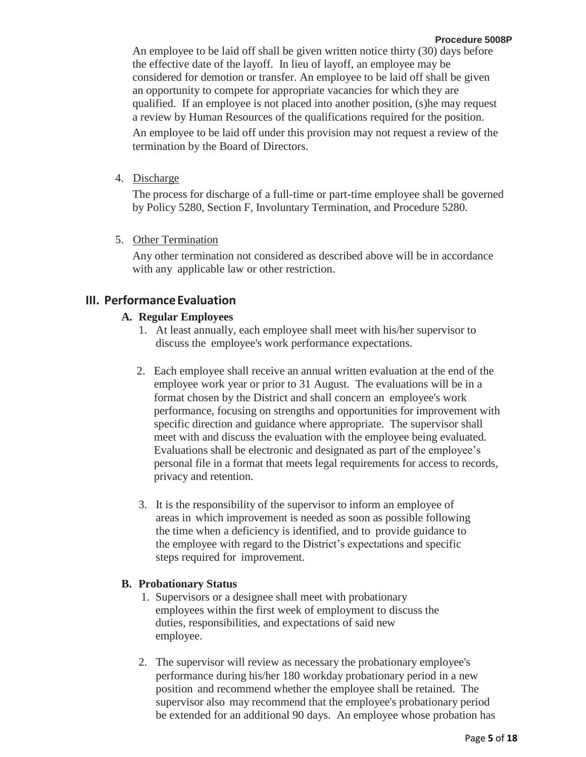An employee to be laid off shall be given written notice thirty (30) days before the effective date of the layoff. In lieu of layoff, an employee may be considered for demotion or transfer. An employee to be laid off shall be given an opportunity to compete for appropriate vacancies for which they are qualified. If an employee is not placed into another position, (s)he may request a review by Human Resources of the qualifications required for the position.

An employee to be laid off under this provision may not request a review of the termination by the Board of Directors.

4. Discharge

The process for discharge of a full-time or part-time employee shall be governed by Policy 5280, Section F, Involuntary Termination, and Procedure 5280.

5. Other Termination

Any other termination not considered as described above will be in accordance with any applicable law or other restriction.

### **III. Performance Evaluation**

#### **A. Regular Employees**

- 1. At least annually, each employee shall meet with his/her supervisor to discuss the employee's work performance expectations.
- 2. Each employee shall receive an annual written evaluation at the end of the employee work year or prior to 31 August. The evaluations will be in a format chosen by the District and shall concern an employee's work performance, focusing on strengths and opportunities for improvement with specific direction and guidance where appropriate. The supervisor shall meet with and discuss the evaluation with the employee being evaluated. Evaluations shall be electronic and designated as part of the employee's personal file in a format that meets legal requirements for access to records, privacy and retention.
- 3. It is the responsibility of the supervisor to inform an employee of areas in which improvement is needed as soon as possible following the time when a deficiency is identified, and to provide guidance to the employee with regard to the District's expectations and specific steps required for improvement.

#### **B. Probationary Status**

- 1. Supervisors or a designee shall meet with probationary employees within the first week of employment to discuss the duties, responsibilities, and expectations of said new employee.
- 2. The supervisor will review as necessary the probationary employee's performance during his/her 180 workday probationary period in a new position and recommend whether the employee shall be retained. The supervisor also may recommend that the employee's probationary period be extended for an additional 90 days. An employee whose probation has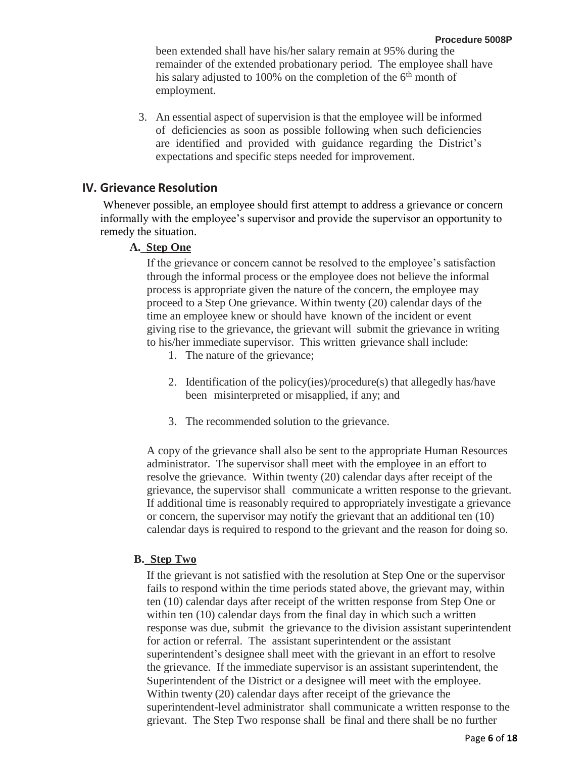been extended shall have his/her salary remain at 95% during the remainder of the extended probationary period. The employee shall have his salary adjusted to 100% on the completion of the  $6<sup>th</sup>$  month of employment.

3. An essential aspect of supervision is that the employee will be informed of deficiencies as soon as possible following when such deficiencies are identified and provided with guidance regarding the District's expectations and specific steps needed for improvement.

### **IV. Grievance Resolution**

Whenever possible, an employee should first attempt to address a grievance or concern informally with the employee's supervisor and provide the supervisor an opportunity to remedy the situation.

### **A. Step One**

If the grievance or concern cannot be resolved to the employee's satisfaction through the informal process or the employee does not believe the informal process is appropriate given the nature of the concern, the employee may proceed to a Step One grievance. Within twenty (20) calendar days of the time an employee knew or should have known of the incident or event giving rise to the grievance, the grievant will submit the grievance in writing to his/her immediate supervisor. This written grievance shall include:

- 1. The nature of the grievance;
- 2. Identification of the policy(ies)/procedure(s) that allegedly has/have been misinterpreted or misapplied, if any; and
- 3. The recommended solution to the grievance.

A copy of the grievance shall also be sent to the appropriate Human Resources administrator. The supervisor shall meet with the employee in an effort to resolve the grievance. Within twenty (20) calendar days after receipt of the grievance, the supervisor shall communicate a written response to the grievant. If additional time is reasonably required to appropriately investigate a grievance or concern, the supervisor may notify the grievant that an additional ten (10) calendar days is required to respond to the grievant and the reason for doing so.

### **B. Step Two**

If the grievant is not satisfied with the resolution at Step One or the supervisor fails to respond within the time periods stated above, the grievant may, within ten (10) calendar days after receipt of the written response from Step One or within ten (10) calendar days from the final day in which such a written response was due, submit the grievance to the division assistant superintendent for action or referral. The assistant superintendent or the assistant superintendent's designee shall meet with the grievant in an effort to resolve the grievance. If the immediate supervisor is an assistant superintendent, the Superintendent of the District or a designee will meet with the employee. Within twenty (20) calendar days after receipt of the grievance the superintendent-level administrator shall communicate a written response to the grievant. The Step Two response shall be final and there shall be no further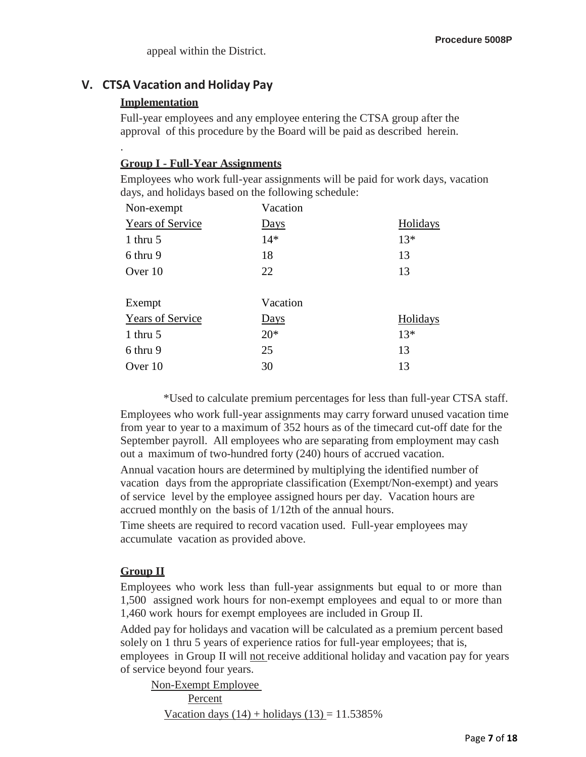## **V. CTSA Vacation and Holiday Pay**

### **Implementation**

.

Full-year employees and any employee entering the CTSA group after the approval of this procedure by the Board will be paid as described herein.

### **Group I - Full-Year Assignments**

Employees who work full-year assignments will be paid for work days, vacation days, and holidays based on the following schedule:

| Non-exempt              | Vacation    |          |
|-------------------------|-------------|----------|
| <b>Years of Service</b> | <b>Days</b> | Holidays |
| 1 thru $5$              | $14*$       | $13*$    |
| 6 thru 9                | 18          | 13       |
| Over 10                 | 22          | 13       |
| Exempt                  | Vacation    |          |
| <b>Years of Service</b> | <b>Days</b> | Holidays |
| 1 thru $5$              | $20*$       | $13*$    |
| 6 thru 9                | 25          | 13       |
| Over 10                 | 30          | 13       |

\*Used to calculate premium percentages for less than full-year CTSA staff.

Employees who work full-year assignments may carry forward unused vacation time from year to year to a maximum of 352 hours as of the timecard cut-off date for the September payroll. All employees who are separating from employment may cash out a maximum of two-hundred forty (240) hours of accrued vacation.

Annual vacation hours are determined by multiplying the identified number of vacation days from the appropriate classification (Exempt/Non-exempt) and years of service level by the employee assigned hours per day. Vacation hours are accrued monthly on the basis of 1/12th of the annual hours.

Time sheets are required to record vacation used. Full-year employees may accumulate vacation as provided above.

### **Group II**

Employees who work less than full-year assignments but equal to or more than 1,500 assigned work hours for non-exempt employees and equal to or more than 1,460 work hours for exempt employees are included in Group II.

Added pay for holidays and vacation will be calculated as a premium percent based solely on 1 thru 5 years of experience ratios for full-year employees; that is, employees in Group II will not receive additional holiday and vacation pay for years

of service beyond four years.

Non-Exempt Employee Percent Vacation days  $(14)$  + holidays  $(13)$  = 11.5385%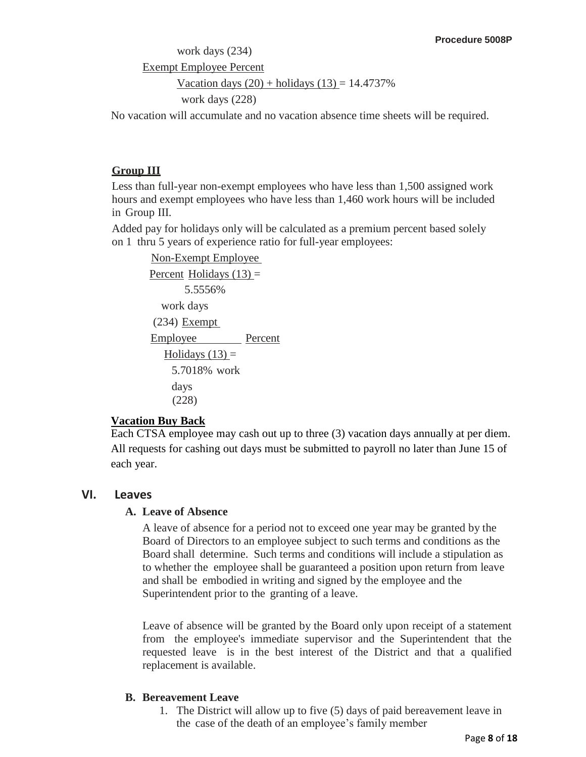# work days (234) Exempt Employee Percent Vacation days  $(20)$  + holidays  $(13) = 14.4737\%$ work days (228)

No vacation will accumulate and no vacation absence time sheets will be required.

## **Group III**

Less than full-year non-exempt employees who have less than 1,500 assigned work hours and exempt employees who have less than 1,460 work hours will be included in Group III.

Added pay for holidays only will be calculated as a premium percent based solely on 1 thru 5 years of experience ratio for full-year employees:

```
Non-Exempt Employee
Percent Holidays (13) =
      5.5556%
  work days
(234) Exempt
Employee Percent
  Holidays (13) =
    5.7018% work 
    days
    (228)
```
### **Vacation Buy Back**

Each CTSA employee may cash out up to three (3) vacation days annually at per diem. All requests for cashing out days must be submitted to payroll no later than June 15 of each year.

## **VI. Leaves**

### **A. Leave of Absence**

A leave of absence for a period not to exceed one year may be granted by the Board of Directors to an employee subject to such terms and conditions as the Board shall determine. Such terms and conditions will include a stipulation as to whether the employee shall be guaranteed a position upon return from leave and shall be embodied in writing and signed by the employee and the Superintendent prior to the granting of a leave.

Leave of absence will be granted by the Board only upon receipt of a statement from the employee's immediate supervisor and the Superintendent that the requested leave is in the best interest of the District and that a qualified replacement is available.

## **B. Bereavement Leave**

1. The District will allow up to five (5) days of paid bereavement leave in the case of the death of an employee's family member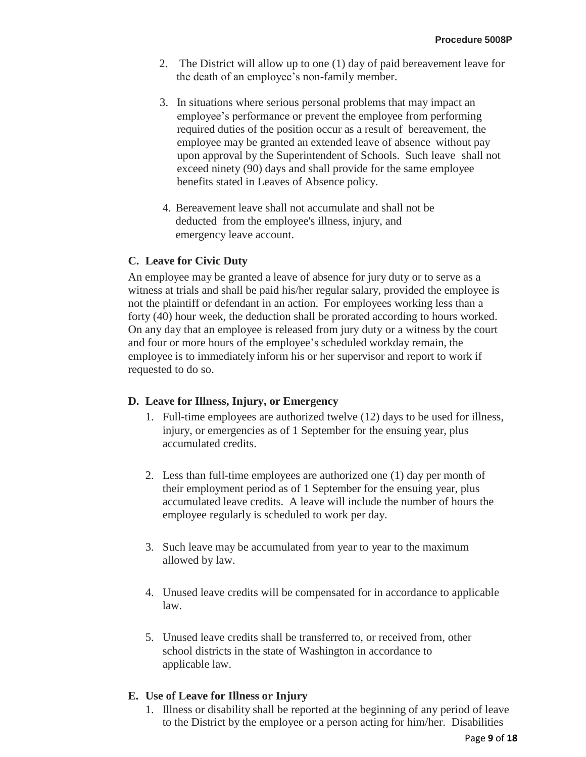- 2. The District will allow up to one (1) day of paid bereavement leave for the death of an employee's non-family member.
- 3. In situations where serious personal problems that may impact an employee's performance or prevent the employee from performing required duties of the position occur as a result of bereavement, the employee may be granted an extended leave of absence without pay upon approval by the Superintendent of Schools. Such leave shall not exceed ninety (90) days and shall provide for the same employee benefits stated in Leaves of Absence policy.
- 4. Bereavement leave shall not accumulate and shall not be deducted from the employee's illness, injury, and emergency leave account.

#### **C. Leave for Civic Duty**

An employee may be granted a leave of absence for jury duty or to serve as a witness at trials and shall be paid his/her regular salary, provided the employee is not the plaintiff or defendant in an action. For employees working less than a forty (40) hour week, the deduction shall be prorated according to hours worked. On any day that an employee is released from jury duty or a witness by the court and four or more hours of the employee's scheduled workday remain, the employee is to immediately inform his or her supervisor and report to work if requested to do so.

#### **D. Leave for Illness, Injury, or Emergency**

- 1. Full-time employees are authorized twelve (12) days to be used for illness, injury, or emergencies as of 1 September for the ensuing year, plus accumulated credits.
- 2. Less than full-time employees are authorized one (1) day per month of their employment period as of 1 September for the ensuing year, plus accumulated leave credits. A leave will include the number of hours the employee regularly is scheduled to work per day.
- 3. Such leave may be accumulated from year to year to the maximum allowed by law.
- 4. Unused leave credits will be compensated for in accordance to applicable law.
- 5. Unused leave credits shall be transferred to, or received from, other school districts in the state of Washington in accordance to applicable law.

#### **E. Use of Leave for Illness or Injury**

1. Illness or disability shall be reported at the beginning of any period of leave to the District by the employee or a person acting for him/her. Disabilities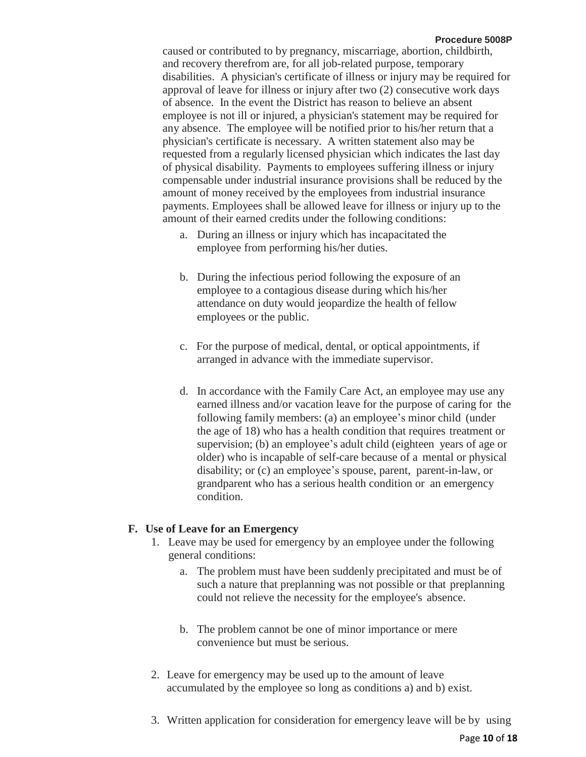caused or contributed to by pregnancy, miscarriage, abortion, childbirth, and recovery therefrom are, for all job-related purpose, temporary disabilities. A physician's certificate of illness or injury may be required for approval of leave for illness or injury after two (2) consecutive work days of absence. In the event the District has reason to believe an absent employee is not ill or injured, a physician's statement may be required for any absence. The employee will be notified prior to his/her return that a physician's certificate is necessary. A written statement also may be requested from a regularly licensed physician which indicates the last day of physical disability. Payments to employees suffering illness or injury compensable under industrial insurance provisions shall be reduced by the amount of money received by the employees from industrial insurance payments. Employees shall be allowed leave for illness or injury up to the amount of their earned credits under the following conditions:

- a. During an illness or injury which has incapacitated the employee from performing his/her duties.
- b. During the infectious period following the exposure of an employee to a contagious disease during which his/her attendance on duty would jeopardize the health of fellow employees or the public.
- c. For the purpose of medical, dental, or optical appointments, if arranged in advance with the immediate supervisor.
- d. In accordance with the Family Care Act, an employee may use any earned illness and/or vacation leave for the purpose of caring for the following family members: (a) an employee's minor child (under the age of 18) who has a health condition that requires treatment or supervision; (b) an employee's adult child (eighteen years of age or older) who is incapable of self-care because of a mental or physical disability; or (c) an employee's spouse, parent, parent-in-law, or grandparent who has a serious health condition or an emergency condition.

### **F. Use of Leave for an Emergency**

- 1. Leave may be used for emergency by an employee under the following general conditions:
	- a. The problem must have been suddenly precipitated and must be of such a nature that preplanning was not possible or that preplanning could not relieve the necessity for the employee's absence.
	- b. The problem cannot be one of minor importance or mere convenience but must be serious.
- 2. Leave for emergency may be used up to the amount of leave accumulated by the employee so long as conditions a) and b) exist.
- 3. Written application for consideration for emergency leave will be by using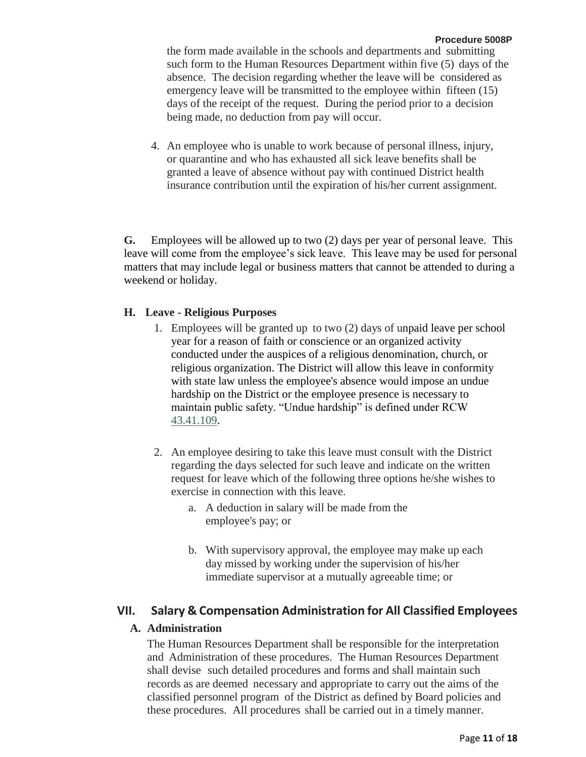the form made available in the schools and departments and submitting such form to the Human Resources Department within five (5) days of the absence. The decision regarding whether the leave will be considered as emergency leave will be transmitted to the employee within fifteen (15) days of the receipt of the request. During the period prior to a decision being made, no deduction from pay will occur.

4. An employee who is unable to work because of personal illness, injury, or quarantine and who has exhausted all sick leave benefits shall be granted a leave of absence without pay with continued District health insurance contribution until the expiration of his/her current assignment.

**G.** Employees will be allowed up to two (2) days per year of personal leave. This leave will come from the employee's sick leave. This leave may be used for personal matters that may include legal or business matters that cannot be attended to during a weekend or holiday.

#### **H. Leave - Religious Purposes**

- 1. Employees will be granted up to two (2) days of unpaid leave per school year for a reason of faith or conscience or an organized activity conducted under the auspices of a religious denomination, church, or religious organization. The District will allow this leave in conformity with state law unless the employee's absence would impose an undue hardship on the District or the employee presence is necessary to maintain public safety. "Undue hardship" is defined under RCW [43.41.109.](http://app.leg.wa.gov/RCW/default.aspx?cite=43.41.109)
- 2. An employee desiring to take this leave must consult with the District regarding the days selected for such leave and indicate on the written request for leave which of the following three options he/she wishes to exercise in connection with this leave.
	- a. A deduction in salary will be made from the employee's pay; or
	- b. With supervisory approval, the employee may make up each day missed by working under the supervision of his/her immediate supervisor at a mutually agreeable time; or

#### **VII. Salary & Compensation Administration for All Classified Employees**

#### **A. Administration**

The Human Resources Department shall be responsible for the interpretation and Administration of these procedures. The Human Resources Department shall devise such detailed procedures and forms and shall maintain such records as are deemed necessary and appropriate to carry out the aims of the classified personnel program of the District as defined by Board policies and these procedures. All procedures shall be carried out in a timely manner.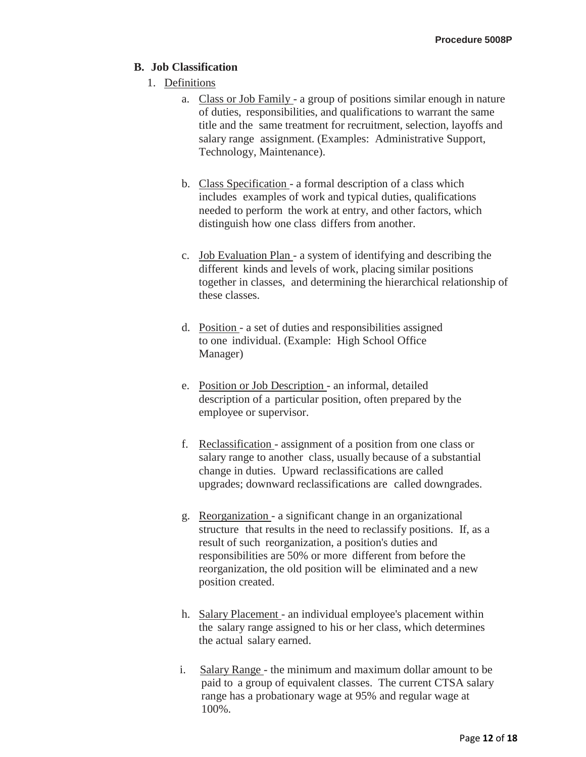#### **B. Job Classification**

- 1. Definitions
	- a. Class or Job Family a group of positions similar enough in nature of duties, responsibilities, and qualifications to warrant the same title and the same treatment for recruitment, selection, layoffs and salary range assignment. (Examples: Administrative Support, Technology, Maintenance).
	- b. Class Specification a formal description of a class which includes examples of work and typical duties, qualifications needed to perform the work at entry, and other factors, which distinguish how one class differs from another.
	- c. Job Evaluation Plan a system of identifying and describing the different kinds and levels of work, placing similar positions together in classes, and determining the hierarchical relationship of these classes.
	- d. Position a set of duties and responsibilities assigned to one individual. (Example: High School Office Manager)
	- e. Position or Job Description an informal, detailed description of a particular position, often prepared by the employee or supervisor.
	- f. Reclassification assignment of a position from one class or salary range to another class, usually because of a substantial change in duties. Upward reclassifications are called upgrades; downward reclassifications are called downgrades.
	- g. Reorganization a significant change in an organizational structure that results in the need to reclassify positions. If, as a result of such reorganization, a position's duties and responsibilities are 50% or more different from before the reorganization, the old position will be eliminated and a new position created.
	- h. Salary Placement an individual employee's placement within the salary range assigned to his or her class, which determines the actual salary earned.
	- i. Salary Range the minimum and maximum dollar amount to be paid to a group of equivalent classes. The current CTSA salary range has a probationary wage at 95% and regular wage at 100%.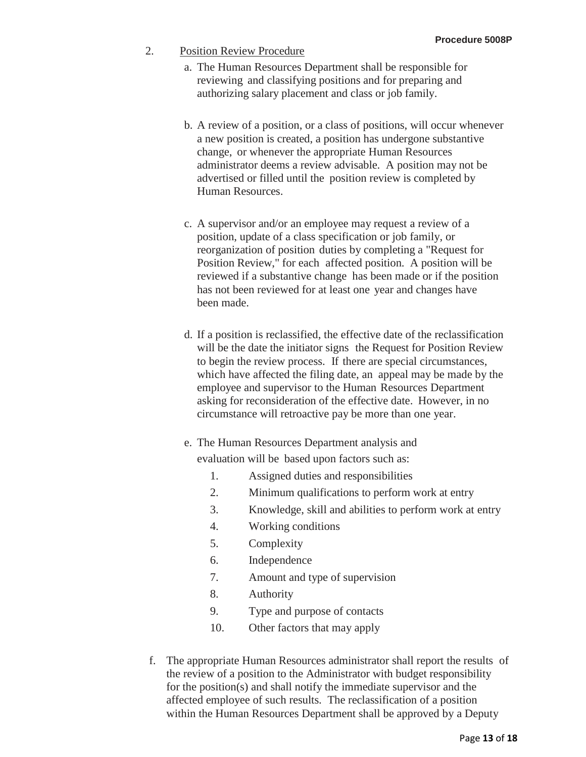- 2. Position Review Procedure
	- a. The Human Resources Department shall be responsible for reviewing and classifying positions and for preparing and authorizing salary placement and class or job family.
	- b. A review of a position, or a class of positions, will occur whenever a new position is created, a position has undergone substantive change, or whenever the appropriate Human Resources administrator deems a review advisable. A position may not be advertised or filled until the position review is completed by Human Resources.
	- c. A supervisor and/or an employee may request a review of a position, update of a class specification or job family, or reorganization of position duties by completing a "Request for Position Review," for each affected position. A position will be reviewed if a substantive change has been made or if the position has not been reviewed for at least one year and changes have been made.
	- d. If a position is reclassified, the effective date of the reclassification will be the date the initiator signs the Request for Position Review to begin the review process. If there are special circumstances, which have affected the filing date, an appeal may be made by the employee and supervisor to the Human Resources Department asking for reconsideration of the effective date. However, in no circumstance will retroactive pay be more than one year.
	- e. The Human Resources Department analysis and evaluation will be based upon factors such as:
		- 1. Assigned duties and responsibilities
		- 2. Minimum qualifications to perform work at entry
		- 3. Knowledge, skill and abilities to perform work at entry
		- 4. Working conditions
		- 5. Complexity
		- 6. Independence
		- 7. Amount and type of supervision
		- 8. Authority
		- 9. Type and purpose of contacts
		- 10. Other factors that may apply
- f. The appropriate Human Resources administrator shall report the results of the review of a position to the Administrator with budget responsibility for the position(s) and shall notify the immediate supervisor and the affected employee of such results. The reclassification of a position within the Human Resources Department shall be approved by a Deputy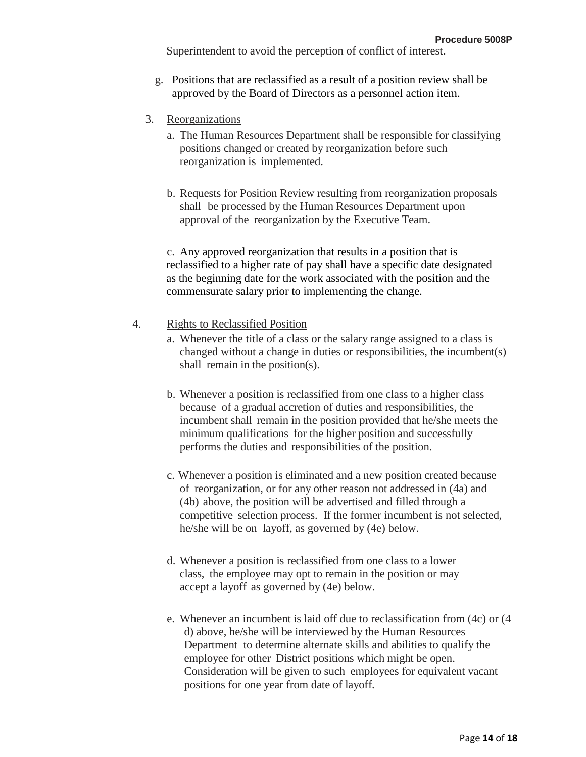Superintendent to avoid the perception of conflict of interest.

- g. Positions that are reclassified as a result of a position review shall be approved by the Board of Directors as a personnel action item.
- 3. Reorganizations
	- a. The Human Resources Department shall be responsible for classifying positions changed or created by reorganization before such reorganization is implemented.
	- b. Requests for Position Review resulting from reorganization proposals shall be processed by the Human Resources Department upon approval of the reorganization by the Executive Team.

c. Any approved reorganization that results in a position that is reclassified to a higher rate of pay shall have a specific date designated as the beginning date for the work associated with the position and the commensurate salary prior to implementing the change.

#### 4. Rights to Reclassified Position

- a. Whenever the title of a class or the salary range assigned to a class is changed without a change in duties or responsibilities, the incumbent(s) shall remain in the position(s).
- b. Whenever a position is reclassified from one class to a higher class because of a gradual accretion of duties and responsibilities, the incumbent shall remain in the position provided that he/she meets the minimum qualifications for the higher position and successfully performs the duties and responsibilities of the position.
- c. Whenever a position is eliminated and a new position created because of reorganization, or for any other reason not addressed in (4a) and (4b) above, the position will be advertised and filled through a competitive selection process. If the former incumbent is not selected, he/she will be on layoff, as governed by (4e) below.
- d. Whenever a position is reclassified from one class to a lower class, the employee may opt to remain in the position or may accept a layoff as governed by (4e) below.
- e. Whenever an incumbent is laid off due to reclassification from (4c) or (4 d) above, he/she will be interviewed by the Human Resources Department to determine alternate skills and abilities to qualify the employee for other District positions which might be open. Consideration will be given to such employees for equivalent vacant positions for one year from date of layoff.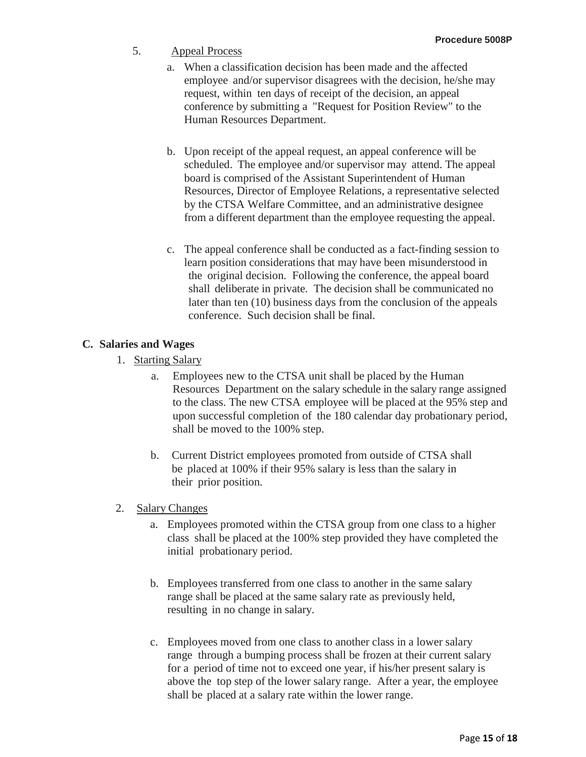- 5. Appeal Process
	- a. When a classification decision has been made and the affected employee and/or supervisor disagrees with the decision, he/she may request, within ten days of receipt of the decision, an appeal conference by submitting a "Request for Position Review" to the Human Resources Department.
	- b. Upon receipt of the appeal request, an appeal conference will be scheduled. The employee and/or supervisor may attend. The appeal board is comprised of the Assistant Superintendent of Human Resources, Director of Employee Relations, a representative selected by the CTSA Welfare Committee, and an administrative designee from a different department than the employee requesting the appeal.
	- c. The appeal conference shall be conducted as a fact-finding session to learn position considerations that may have been misunderstood in the original decision. Following the conference, the appeal board shall deliberate in private. The decision shall be communicated no later than ten (10) business days from the conclusion of the appeals conference. Such decision shall be final.

## **C. Salaries and Wages**

- 1. Starting Salary
	- a. Employees new to the CTSA unit shall be placed by the Human Resources Department on the salary schedule in the salary range assigned to the class. The new CTSA employee will be placed at the 95% step and upon successful completion of the 180 calendar day probationary period, shall be moved to the 100% step.
	- b. Current District employees promoted from outside of CTSA shall be placed at 100% if their 95% salary is less than the salary in their prior position.
- 2. Salary Changes
	- a. Employees promoted within the CTSA group from one class to a higher class shall be placed at the 100% step provided they have completed the initial probationary period.
	- b. Employees transferred from one class to another in the same salary range shall be placed at the same salary rate as previously held, resulting in no change in salary.
	- c. Employees moved from one class to another class in a lower salary range through a bumping process shall be frozen at their current salary for a period of time not to exceed one year, if his/her present salary is above the top step of the lower salary range. After a year, the employee shall be placed at a salary rate within the lower range.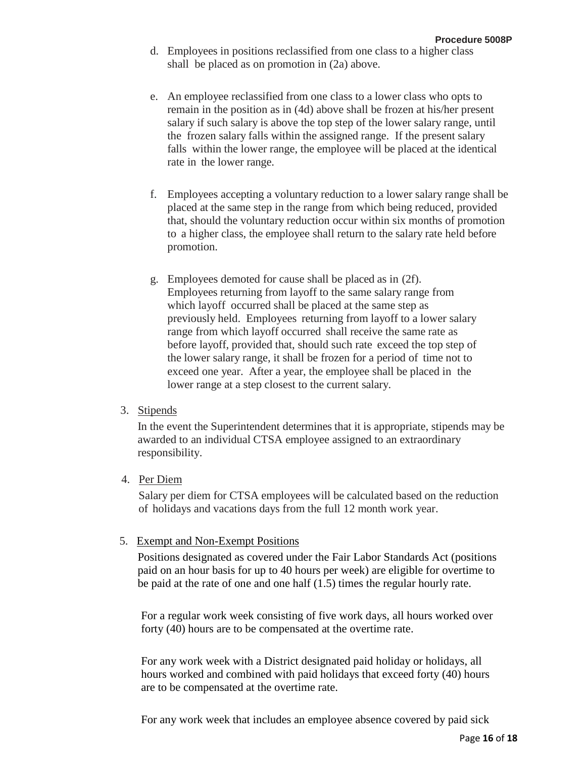- d. Employees in positions reclassified from one class to a higher class shall be placed as on promotion in (2a) above.
- e. An employee reclassified from one class to a lower class who opts to remain in the position as in (4d) above shall be frozen at his/her present salary if such salary is above the top step of the lower salary range, until the frozen salary falls within the assigned range. If the present salary falls within the lower range, the employee will be placed at the identical rate in the lower range.
- f. Employees accepting a voluntary reduction to a lower salary range shall be placed at the same step in the range from which being reduced, provided that, should the voluntary reduction occur within six months of promotion to a higher class, the employee shall return to the salary rate held before promotion.
- g. Employees demoted for cause shall be placed as in (2f). Employees returning from layoff to the same salary range from which layoff occurred shall be placed at the same step as previously held. Employees returning from layoff to a lower salary range from which layoff occurred shall receive the same rate as before layoff, provided that, should such rate exceed the top step of the lower salary range, it shall be frozen for a period of time not to exceed one year. After a year, the employee shall be placed in the lower range at a step closest to the current salary.
- 3. Stipends

In the event the Superintendent determines that it is appropriate, stipends may be awarded to an individual CTSA employee assigned to an extraordinary responsibility.

4. Per Diem

Salary per diem for CTSA employees will be calculated based on the reduction of holidays and vacations days from the full 12 month work year.

#### 5. Exempt and Non-Exempt Positions

Positions designated as covered under the Fair Labor Standards Act (positions paid on an hour basis for up to 40 hours per week) are eligible for overtime to be paid at the rate of one and one half (1.5) times the regular hourly rate.

For a regular work week consisting of five work days, all hours worked over forty (40) hours are to be compensated at the overtime rate.

For any work week with a District designated paid holiday or holidays, all hours worked and combined with paid holidays that exceed forty (40) hours are to be compensated at the overtime rate.

For any work week that includes an employee absence covered by paid sick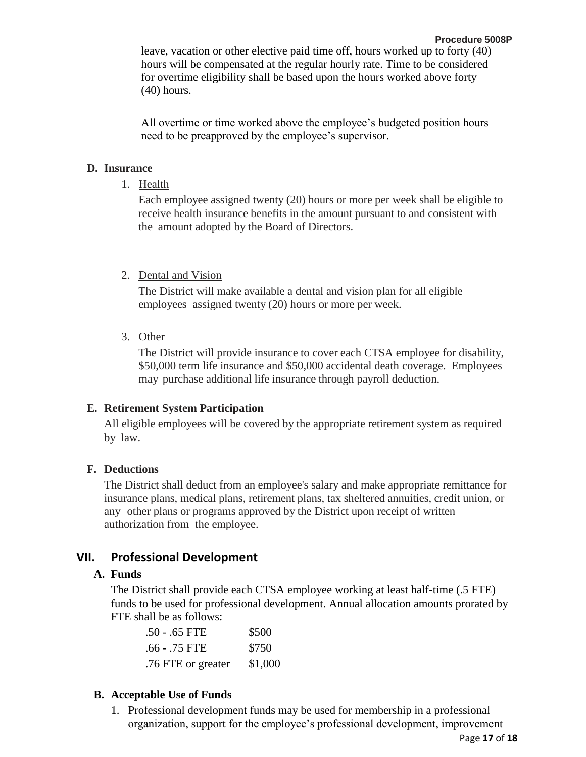All overtime or time worked above the employee's budgeted position hours need to be preapproved by the employee's supervisor.

## **D. Insurance**

1. Health

Each employee assigned twenty (20) hours or more per week shall be eligible to receive health insurance benefits in the amount pursuant to and consistent with the amount adopted by the Board of Directors.

## 2. Dental and Vision

The District will make available a dental and vision plan for all eligible employees assigned twenty (20) hours or more per week.

3. Other

The District will provide insurance to cover each CTSA employee for disability, \$50,000 term life insurance and \$50,000 accidental death coverage. Employees may purchase additional life insurance through payroll deduction.

## **E. Retirement System Participation**

All eligible employees will be covered by the appropriate retirement system as required by law.

## **F. Deductions**

The District shall deduct from an employee's salary and make appropriate remittance for insurance plans, medical plans, retirement plans, tax sheltered annuities, credit union, or any other plans or programs approved by the District upon receipt of written authorization from the employee.

# **VII. Professional Development**

# **A. Funds**

The District shall provide each CTSA employee working at least half-time (.5 FTE) funds to be used for professional development. Annual allocation amounts prorated by FTE shall be as follows:

| $.50 - .65$ FTE    | \$500   |
|--------------------|---------|
| .66 - .75 FTE      | \$750   |
| .76 FTE or greater | \$1,000 |

# **B. Acceptable Use of Funds**

1. Professional development funds may be used for membership in a professional organization, support for the employee's professional development, improvement